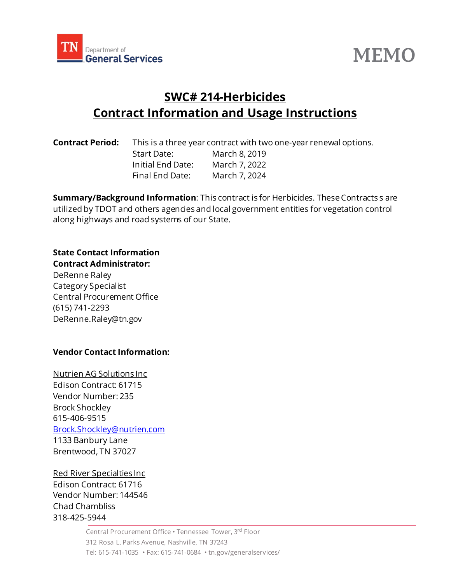

# **MEMO**

## **SWC# 214-Herbicides Contract Information and Usage Instructions**

| <b>Contract Period:</b> | This is a three year contract with two one-year renewal options. |               |
|-------------------------|------------------------------------------------------------------|---------------|
|                         | Start Date:                                                      | March 8, 2019 |
|                         | Initial End Date:                                                | March 7, 2022 |
|                         | Final End Date:                                                  | March 7, 2024 |

**Summary/Background Information**: This contract is for Herbicides. These Contracts s are utilized by TDOT and others agencies and local government entities for vegetation control along highways and road systems of our State.

## **State Contact Information Contract Administrator:**

DeRenne Raley Category Specialist Central Procurement Office (615) 741-2293 DeRenne.Raley@tn.gov

## **Vendor Contact Information:**

Nutrien AG Solutions Inc Edison Contract: 61715 Vendor Number: 235 Brock Shockley 615-406-9515 [Brock.Shockley@nutrien.com](mailto:Brock.Shockley@nutrien.com) 1133 Banbury Lane Brentwood, TN 37027

## Red River Specialties Inc

Edison Contract: 61716 Vendor Number: 144546 Chad Chambliss 318-425-5944